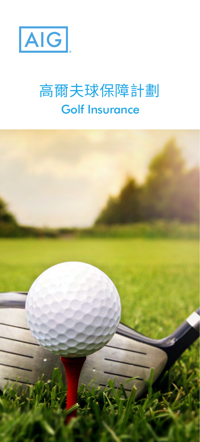

## Golf Insurance 高爾夫球保障計劃

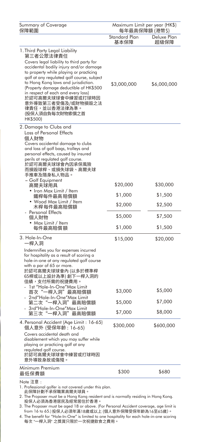| Summary of Coverage<br>保障範圍                                                                                                                                                                                                                                                                                                                                                                                                                   | Maximum Limit per year (HK\$)<br>每年最高保障額 (港幣\$) |                                            |
|-----------------------------------------------------------------------------------------------------------------------------------------------------------------------------------------------------------------------------------------------------------------------------------------------------------------------------------------------------------------------------------------------------------------------------------------------|-------------------------------------------------|--------------------------------------------|
|                                                                                                                                                                                                                                                                                                                                                                                                                                               | Standard Plan<br>基本保障                           | Deluxe Plan<br>超級保障                        |
| 1. Third Party Legal Liability<br>第三者公眾法律責任<br>Covers legal liability to third party for<br>accidental bodily injury and/or damage<br>to property while playing or practicing<br>golf at any regulated golf course, subject<br>to Hong Kong laws and jurisdiction.<br>(Property damage deductible of HK\$500<br>in respect of each and every loss)<br>於認可高爾夫球球會中練習或打球時因<br>意外導致第三者受傷及/或財物損毀之法<br>律責任,並以香港法律為準。<br>(投保人須自負每次財物索償之首<br>HK\$500) | \$3,000,000                                     | \$6,000,000                                |
| 2. Damage to Clubs and<br>Loss of Personal Effects<br>個人財物<br>Covers accidental damage to clubs<br>and loss of golf bags, trolleys and<br>personal effects, caused by insured<br>perils at regulated golf course.<br>,<br>於認可高爾夫球球會內因承保風險<br>而損毀球桿、或損失球袋、高爾夫球<br>手推車及隨身私人物品。                                                                                                                                                                  |                                                 |                                            |
| - Golf Equipment<br>高爾夫球用具                                                                                                                                                                                                                                                                                                                                                                                                                    | \$20,000                                        | \$30,000                                   |
| • Iron Max Limit / Item<br>鐵桿每件最高賠償額                                                                                                                                                                                                                                                                                                                                                                                                          | \$1,000                                         | \$1,500                                    |
| • Wood Max Limit / Item<br>木桿每件最高賠償額                                                                                                                                                                                                                                                                                                                                                                                                          | \$2,000                                         | \$2,500                                    |
| <b>Personal Effects</b><br>個人財物                                                                                                                                                                                                                                                                                                                                                                                                               | \$5,000                                         | \$7,500                                    |
| • Max Limit / Item<br>每件最高賠償額                                                                                                                                                                                                                                                                                                                                                                                                                 | \$1,000                                         | \$1,500                                    |
| 3. Hole-In-One<br>−桿入洞                                                                                                                                                                                                                                                                                                                                                                                                                        | \$15,000                                        | \$20,000                                   |
| Indemnifies you for expenses incurred<br>for hospitality as a result of scoring a<br>hole-in-one at any regulated golf course<br>with a par of 65 or more.<br>於認可高爾夫球球會內 (以多於標準桿<br>65桿或以上設計為準) 創下一桿入洞的<br>佳績,支付所需的祝捷費用。<br>1st "Hole-In-One"Max Limit<br>首次"一桿入洞"最高賠償額<br>2nd"Hole-In-One"Max Limit<br>第二次"-<br>−桿入洞"最高賠償額<br>3rd"Hole-In-One"Max Limit<br>−桿入洞"最高賠償額<br>第三次<br>4. Personal Accident (Age Limit: 16-65)                      | \$3,000<br>\$5,000<br>\$7,000<br>\$300,000      | \$5,000<br>\$7,000<br>\$8,000<br>\$600,000 |
| 個人意外 (受保年齡: 16-65)<br>Covers accidental death and<br>disablement which you may suffer while<br>playing or practicing golf at any<br>regulated golf course.<br>於認可高爾夫球球會中練習或打球時因<br>意外導致身故或傷殘。                                                                                                                                                                                                                                                 |                                                 |                                            |
| Minimum Premium<br>最低保費額                                                                                                                                                                                                                                                                                                                                                                                                                      | \$300                                           | \$680                                      |
|                                                                                                                                                                                                                                                                                                                                                                                                                                               |                                                 |                                            |

Note 注意 :

1. Professional golfer is not covered under this plan. 此保障計劃不承保職業高爾夫球員。

2. The Proposer must be a Hong Kong resident and is normally residing in Hong Kong. 投保人必須為香港居民及經常居住於香港。

3. The Proposer must be aged 18 or above. (For Personal Accident coverage, age limit is

from 16 to 65.)投保人必須年滿18歲或以上 (個人意外保障受保年齡為16至65歲)。 4. The benefit for "Hole-In-One" is limited to one hospitality for each hole-in-one scoring 每次 "一桿入洞" 之獎賞只限於一次祝捷飲食之費用。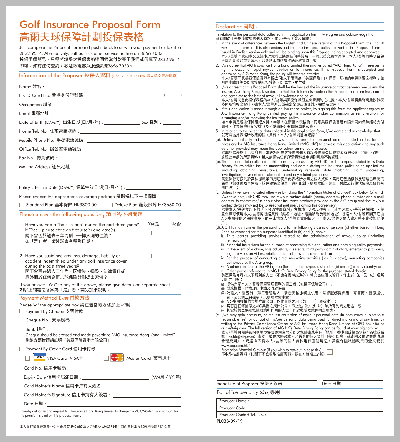## Golf Insurance Proposal Form 高爾夫球保障計劃投保表格

Just complete the Proposal Form and post it back to us with your payment or fax it to 2832 9514. Alternatively, call our customer service hotline on 3666 7033. 投保手續簡易,只需將填妥之投保表格連同適當付款寄予我們或傳真至2832 9514 即可。如有任何查詢,歡迎致電客戶服務熱線3666 7033。

## Information of the Proposer 投保人資料 (USE BLOCK LETTER 請以英文正楷填寫)

| HK ID Card No. 香港身份證號碼 : http://www.fli.com/                                                                                                                                                  | $\lambda$                     |
|-----------------------------------------------------------------------------------------------------------------------------------------------------------------------------------------------|-------------------------------|
|                                                                                                                                                                                               |                               |
|                                                                                                                                                                                               |                               |
|                                                                                                                                                                                               |                               |
|                                                                                                                                                                                               |                               |
| Mobile Phone No. 手提電話號碼: いんじょう しんしょう しんしょう しんしゅう しんしゅう しんしゅう                                                                                                                                  |                               |
| Office Tel. No. 辦公室電話號碼: しんしょう しんしょう しんしょう しんしゅう しんしゅう しんしゅう                                                                                                                                  |                               |
|                                                                                                                                                                                               |                               |
| Mailing Address 通訊地址: いんじょう しょうかん しんしょう しんしゅう しんしゅう しんしゅう                                                                                                                                     |                               |
|                                                                                                                                                                                               |                               |
| Policy Effective Date (D/M/Y) 保單生效日期(日/月/年) : ____________________________                                                                                                                    |                               |
| Please choose the appropriate coverage package 請選擇以下一項保障:                                                                                                                                     |                               |
| □ Standard Plan 基本保障 HK\$300.00                                                                                                                                                               | □ Deluxe Plan 超級保障 HK\$680.00 |
| Please answer the following question <sub>s</sub> 請回答下列問題                                                                                                                                     |                               |
| 1. Have you had a "hole-in-one" during the past three years?                                                                                                                                  | Yes是<br>No否                   |
| If "Yes", please state golf course(s) and date(s).<br>閣下曾否於過去三年內創下一桿入洞的佳績?<br>如「是」者,請述球會名稱及日期。                                                                                                |                               |
| 2. Have you sustained any loss, damage, liability or<br>accident indemnified under any golf insurance cover<br>during the past three years?<br>閣下曾否在過去三年內,因遺失、損毀、法律責任或<br>意外而於任何高爾夫球保險計劃提出索償? |                               |
| If you answer "Yes" to any of the above, please give details on separate sheet.<br>如以上問題之答案為「是」者,請另加紙說明。                                                                                      |                               |
| Payment Method 保費付款方法                                                                                                                                                                         |                               |
| Please "√" the appropriate box 請在適當的方格加上"√"號<br>□ Payment by Cheque 支票付款                                                                                                                      |                               |
| Cheque No. 支票號碼:                                                                                                                                                                              |                               |
| Bank 銀行:_<br>Cheque should be crossed and made payable to "AIG Insurance Hong Kong Limited"<br>劃線支票抬頭請註明「美亞保險香港有限公司」                                                                          |                               |
| □ Payment By Credit Card 信用卡付款                                                                                                                                                                |                               |
| <sup>WSA*</sup> VISA Card VISA卡                                                                                                                                                               | □ Mastercard Master Card 萬事達卡 |
| Card No. 信用卡號碼:_____                                                                                                                                                                          |                               |
| Expiry Date 信用卡屆滿日期 : _______                                                                                                                                                                 |                               |
|                                                                                                                                                                                               |                               |
| Card Holder's Signature 信用卡持有人簽署: ____________________________                                                                                                                                |                               |
| Date 日期 :                                                                                                                                                                                     |                               |
| I hereby authorize and request AIG Insurance Hong Kong Limited to charge my VISA/Master Card account for                                                                                      |                               |

the premium stated on this proposal form.

## Declaration 聲明:

In relation to the personal data collected in this application form, I/we agree and acknowledge that:<br>就有關從此表格所收集的個人資料,本人/吾等同意及確認:<br>-

- 1. In the event of differences between the English and Chinese version of this Proposal Form, the English version shall prevail. It is also understood that the insurance policy relevant to this Proposal Form is issued in English version only and will be binding upon this Proposal being accepted and approved. 本人/吾等同意如本文之譯本於意義上遇到任何爭議時,一概以英文版本為準;本人/吾等同時明白保 險契約只會以英文發出,並會於本申請獲接納及核實時生效。
- 2. I/we agree that AIG Insurance Hong Kong Limited (hereinafter called "AIG Hong Kong") , reserves its right to accept or reject my/our application for insurance. If the Proposal Form is accepted and<br>approved by AIG Hong Kong, the policy will become effective.<br>本人/吾等同意美亞保險香港有限公司[以下簡稱為「美亞保險」),保留一切接納申請與否之權利;並 明白申請經美亞保險接納及批核後,保障才正式生效。
- 3. I/we agree that this Proposal Form shall be the basis of the insurance contract between me/us and the insurer, AIG Hong Kong. I/we declare that the statements made in this Proposal Form are true, correct and complete to the best of my/our knowledge and belief.
- 本人/吾等同意此投保表格為本人/吾等與美亞保險訂立保險契約之根據。本人/吾等特此聲明此投保表 格內所填報之資料,據本人/吾等所知並確定全部正確無訛、完整及足夠。 4. If this application is made through an insurance broker, by signing this form the applicant agrees to
- AIG Insurance Hong Kong Limited paying the insurance broker commission as remuneration for arranging and/or renewing the insurance policy. 如本申請是經由保險經紀安排,申請人在簽署本表格後,同意美亞保險香港有限公司向保險經紀支付
- 佣金,作為保險經紀安排(及/或續保)有關保單的報酬。
- 5. In relation to the personal data collected in this application form, I/we agree and acknowledge that: 就有關從此表格所收集的個人資料,本人/吾等同意及確認:
- (a). (Unless specifically indicated otherwise in this form) the personal data requested in this form is necessary for AIG Insurance Hong Kong Limited ("AIG HK") to process this application and any such data not provided may mean this application cannot be processed. 除非於本表格上另有訂明,本表格所要求提供的個人資料是供美亞保險香港有限公司("美亞保險")
- 處理此申請的所需資料,若未能提供任何所需資料此申請則可能不被處理; (b). The personal data collected in this form may be used by AIG HK for the purposes stated in its Data
- Privacy Policy, which include underwriting and administering the insurance policy being applied for (including obtaining reinsurance, underwriting renewals, data matching, claim processing, .<br>investigation, payment and subrogation and any related purposes).<br>美亞保險可按列於其私隱政策的用途使用此表格所收集之個人資料,其用途句抚核保及管理已由請的

美亞保險可按列於其私隱政策的用途使用此表格所收集之個人資料,其用途包括核保及管理已申請的 保單(包括獲取再保險、核保續保之保單、資料配對、處理索賠、調查、付款及行使代位權及任何有 關用途);

(c). Unless I /we have indicated otherwise by ticking the "Promotion Material Opt-out" box below (of which I/we take note), AIG HK may use my/our contact details (name, address, phone number and e-mail address) to contact me/us about other insurance products provided by the AIG group and that my/our contact details may not be so used without me/us giving this agreement.

除非本人/吾等於以下的「不收取推廣資料」方格填上✓號以作表示(其內容本人/吾等已細閱),美<br>亞保險可使用本人/吾等的聯絡資料(姓名、地址、電話號碼及電郵地址)聯絡本人/吾等有關其它由 AIG集團提供之保險產品,而在未獲本人/吾等同意的情況下,本人/吾等之個人資料將不會被如此使

- 用; (d). AIG HK may transfer the personal data to the following classes of persons (whether based in Hong Kong or overseas) for the purposes identified in (b) and (c) above:
	- i) Third parties providing services related to the administration of my/our policy (including reinsurance);
	- ii) Financial institutions for the purpose of processing this application and obtaining policy payments; iii) In the event of a claim, loss adjustors, assessors, third party administrators, emergency providers,
- legal services providers, retailers, medical providers and travel carriers; iv) For the purpose of conducting direct marketing activities (per (c) above), marketing companies
- authorized by the AIG group; v) Another member of the AIG group (for all of the purposes stated in (b) and (c)) in any country; or
- 
- vi) Other parties referred to in AIG HK's Data Privacy Policy for the purposes stated therein.<br>美亞保險亦可向以下類別的人士(不論在香港或海外)轉交該些個人資料,作上述(b)及(c)項所
- 列明之用途:<br>(i) 提供有關本人 / 吾等保單管理服務的第三者(包括再保險公司);
- (ii) 財務機構,作處理此申請及收取保費;
- (iii) 公證人、調查員、第三者管理人、緊急支援服務提供者、法律服務提供者、零售商、醫療提供 者、及交通工具機構,以處理索償事宜;
- (iv) AIG集團授權的市場推廣公司,以作直銷之用(如上(c)項所述);
- 
- (v) 其它在任何國家之AIG集團之成員公司,作上述(b)及(c)項所有列明之用途;或<br>(vi) 其它於美亞保險私隱政策所列明的人士,作於私隱政策列明之用途。
- (e). I/we may gain access to, or request correction of my/our personal data (in both cases, subject to a reasonable fee), or opt out of my/our personal data being used for direct marketing at any time, by writing to the Privacy Compliance Officer of AIG Insurance Hong Kong Limited at GPO Box 456 or cs.hk@aig.com. The full version of AIG HK's Data Privacy Policy can be found at www.aig.com.hk. 本人/吾等可隨時致函到美亞保險香港有限公司之私隱事務主任(地址:香港郵政總局信箱456號或電

郵:cs.hk@aig.com)查閱丶或要求修改本人/吾等的個人資料(美空保險可就查閱及修改要求收取<br>合理費用),或選擇不將本人/吾等的個人資料用作直銷用途。美亞保險私隱政策的全文載於 www.aig.com.hk。 Promotion Material Opt-out (if you wish to opt-out, please tick)

| Promotion Material Opt-out (if you wish to opt-out, please fick) |  |
|------------------------------------------------------------------|--|
| 不收取推廣資料(如閣下不欲收取推廣資料,請在方格填上✔號)                                    |  |
|                                                                  |  |

| Signature of Proposer 投保人簽署 | Date 日期 |
|-----------------------------|---------|
| For office use only 公司專用    |         |
| Producer Name:              |         |
| Producer Code:              |         |
| Producer Contact Tel. No.:  |         |
| PL03B-09/19                 |         |

本人茲授權並要求美亞保險香港有限公司從本人之VISA/ MASTER卡戶口內支付本投保表格所註明之保費。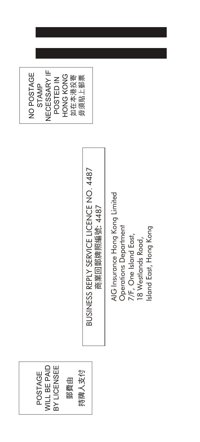**WILL BE PAID** BY LICENSEE POSTAGE 持牌人支付 郵費由

BUSINESS REPLY SERVICE LICENCE NO. 4487 BUSINESS REPLY SERVICE LICENCE NO. 4487 商業回郵牌照編號: 4487 商業回郵牌照編號:

 Insurance Hong Kong Limited **Operations Department** sland East, Hong Kong Operations Department Island East, Hong Kon 7/F, One Island East, *7*/F, One Island East, 18 Westlands Road, 18 Westlands Road, Gৰ

NECESSARY IF 如在本港投寄<br>毋須貼上郵票 NO POSTAGE HONG KONG POSTED IN STAMP